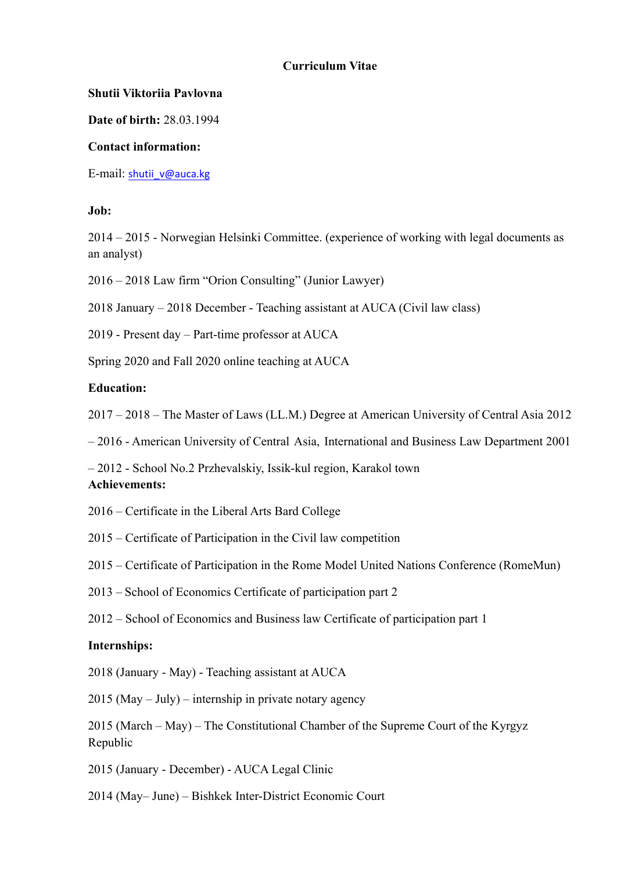### **Curriculum Vitae**

### **Shutii Viktoriia Pavlovna**

**Date of birth:** 28.03.1994

### **Contact information:**

E-mail: [shutii\\_v@auca.kg](mailto:shutii_v@auca.kg)

### **Job:**

2014 – 2015 - Norwegian Helsinki Committee. (experience of working with legal documents as an analyst)

2016 – 2018 Law firm "Orion Consulting" (Junior Lawyer)

2018 January – 2018 December - Teaching assistant at AUCA (Civil law class)

2019 - Present day – Part-time professor at AUCA

Spring 2020 and Fall 2020 online teaching at AUCA

#### **Education:**

2017 – 2018 – The Master of Laws (LL.M.) Degree at American University of Central Asia 2012

– 2016 - American University of Central Asia, International and Business Law Department 2001

– 2012 - School No.2 Przhevalskiy, Issik-kul region, Karakol town

# **Achievements:**

- 2016 Certificate in the Liberal Arts Bard College
- 2015 Certificate of Participation in the Civil law competition
- 2015 Certificate of Participation in the Rome Model United Nations Conference (RomeMun)
- 2013 School of Economics Certificate of participation part 2
- 2012 School of Economics and Business law Certificate of participation part 1

#### **Internships:**

2018 (January - May) - Teaching assistant at AUCA

2015 (May – July) – internship in private notary agency

2015 (March – May) – The Constitutional Chamber of the Supreme Court of the Kyrgyz Republic

2015 (January - December) - AUCA Legal Clinic

2014 (May– June) – Bishkek Inter-District Economic Court